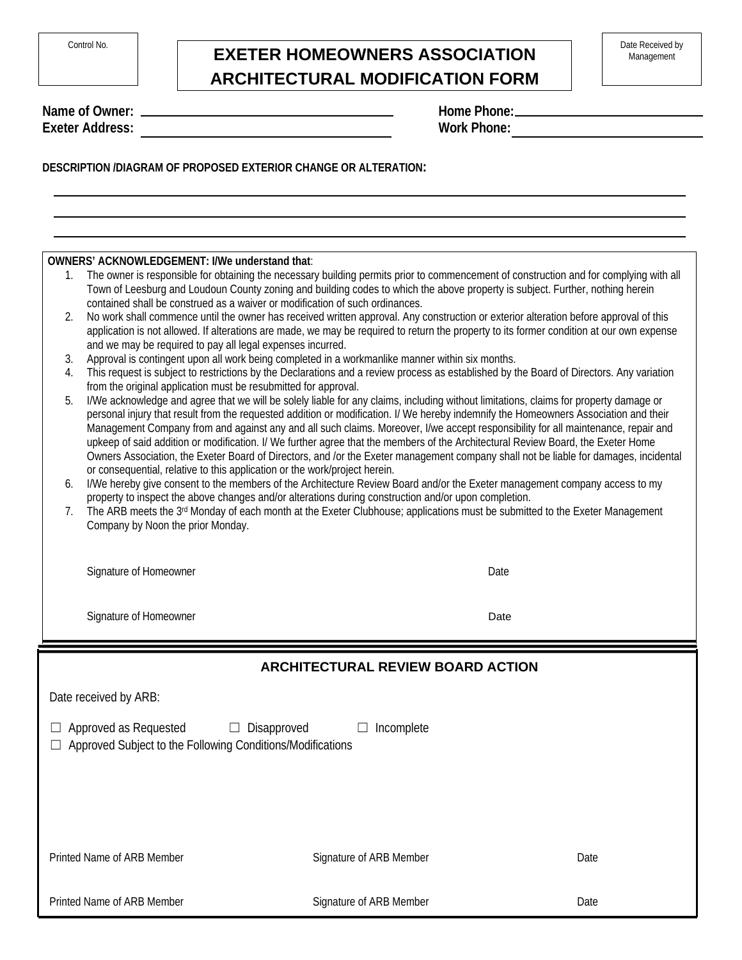| Control No. |  |
|-------------|--|
|             |  |

## **EXETER HOMEOWNERS ASSOCIATION** Date Received by **ARCHITECTURAL MODIFICATION FORM**

**Name of Owner: Exeter Address:** 

| Home Phone:        |  |  |
|--------------------|--|--|
| <b>Work Phone:</b> |  |  |

**DESCRIPTION /DIAGRAM OF PROPOSED EXTERIOR CHANGE OR ALTERATION:**

**OWNERS' ACKNOWLEDGEMENT: I/We understand that**:

- 1. The owner is responsible for obtaining the necessary building permits prior to commencement of construction and for complying with all Town of Leesburg and Loudoun County zoning and building codes to which the above property is subject. Further, nothing herein contained shall be construed as a waiver or modification of such ordinances.
- 2. No work shall commence until the owner has received written approval. Any construction or exterior alteration before approval of this application is not allowed. If alterations are made, we may be required to return the property to its former condition at our own expense and we may be required to pay all legal expenses incurred.
- 3. Approval is contingent upon all work being completed in a workmanlike manner within six months.
- 4. This request is subject to restrictions by the Declarations and a review process as established by the Board of Directors. Any variation from the original application must be resubmitted for approval.
- 5. I/We acknowledge and agree that we will be solely liable for any claims, including without limitations, claims for property damage or personal injury that result from the requested addition or modification. I/ We hereby indemnify the Homeowners Association and their Management Company from and against any and all such claims. Moreover, I/we accept responsibility for all maintenance, repair and upkeep of said addition or modification. I/ We further agree that the members of the Architectural Review Board, the Exeter Home Owners Association, the Exeter Board of Directors, and /or the Exeter management company shall not be liable for damages, incidental or consequential, relative to this application or the work/project herein.
- 6. I/We hereby give consent to the members of the Architecture Review Board and/or the Exeter management company access to my property to inspect the above changes and/or alterations during construction and/or upon completion.
- 7. The ARB meets the 3<sup>rd</sup> Monday of each month at the Exeter Clubhouse; applications must be submitted to the Exeter Management Company by Noon the prior Monday.

Signature of Homeowner **Date** Date of American Control of American Control of American Control of American Control of American Control of American Control of American Control of American Control of American Control of Amer

Signature of Homeowner

Date

| <b>ARCHITECTURAL REVIEW BOARD ACTION</b>                                                                                                                    |                                |      |  |  |
|-------------------------------------------------------------------------------------------------------------------------------------------------------------|--------------------------------|------|--|--|
| Date received by ARB:                                                                                                                                       |                                |      |  |  |
| <b>Approved as Requested</b><br>Disapproved<br>Incomplete<br>⊔<br>$\mathbf{L}$<br>ப<br>Approved Subject to the Following Conditions/Modifications<br>$\Box$ |                                |      |  |  |
|                                                                                                                                                             |                                |      |  |  |
| <b>Printed Name of ARB Member</b>                                                                                                                           | <b>Signature of ARB Member</b> | Date |  |  |
| <b>Printed Name of ARB Member</b>                                                                                                                           | <b>Signature of ARB Member</b> | Date |  |  |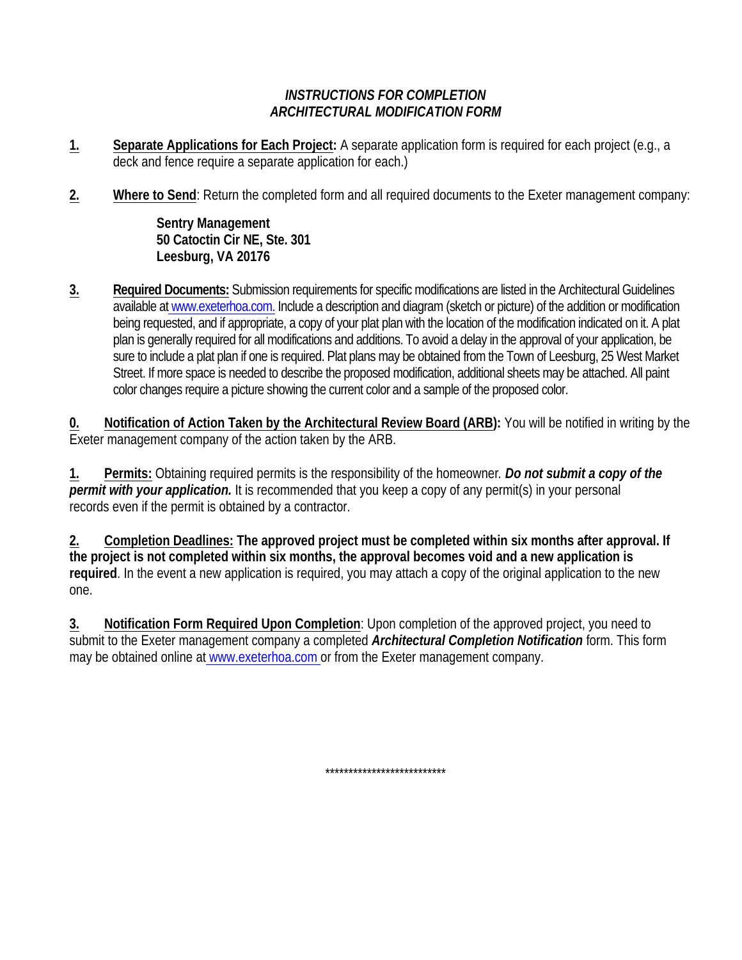## **INSTRUCTIONS FOR COMPLETION ARCHITECTURAL MODIFICATION FORM**

- 1. Separate Applications for Each Project: A separate application form is required for each project (e.g., a deck and fence require a separate application for each.)
- $2.$ Where to Send: Return the completed form and all required documents to the Exeter management company:

**Sentry Management** 50 Catoctin Cir NE, Ste. 301 Leesburg, VA 20176

 $3.$ Required Documents: Submission requirements for specific modifications are listed in the Architectural Guidelines available at www.exeterhoa.com. Include a description and diagram (sketch or picture) of the addition or modification being requested, and if appropriate, a copy of your plat plan with the location of the modification indicated on it. A plat plan is generally required for all modifications and additions. To avoid a delay in the approval of your application, be sure to include a plat plan if one is required. Plat plans may be obtained from the Town of Leesburg, 25 West Market Street. If more space is needed to describe the proposed modification, additional sheets may be attached. All paint color changes require a picture showing the current color and a sample of the proposed color.

Notification of Action Taken by the Architectural Review Board (ARB): You will be notified in writing by the 0. Exeter management company of the action taken by the ARB.

 $1.$ Permits: Obtaining required permits is the responsibility of the homeowner. Do not submit a copy of the permit with your application. It is recommended that you keep a copy of any permit(s) in your personal records even if the permit is obtained by a contractor.

Completion Deadlines: The approved project must be completed within six months after approval. If 2. the project is not completed within six months, the approval becomes void and a new application is required. In the event a new application is required, you may attach a copy of the original application to the new one.

Notification Form Required Upon Completion: Upon completion of the approved project, you need to 3. submit to the Exeter management company a completed Architectural Completion Notification form. This form may be obtained online at www.exeterhoa.com or from the Exeter management company.

\*\*\*\*\*\*\*\*\*\*\*\*\*\*\*\*\*\*\*\*\*\*\*\*\*\*